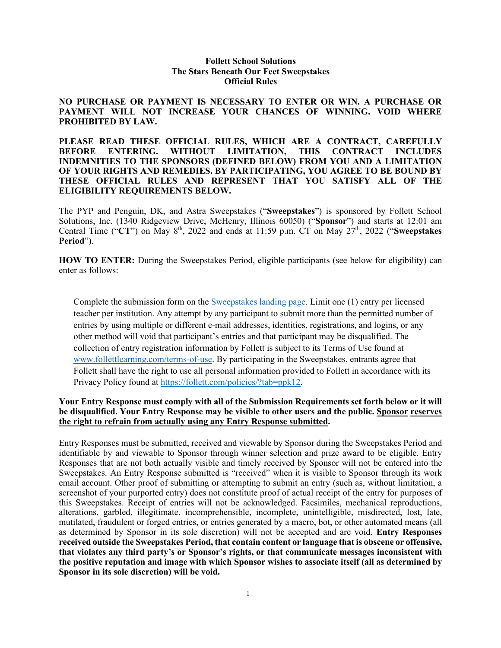## **Follett School Solutions The Stars Beneath Our Feet Sweepstakes Official Rules**

**NO PURCHASE OR PAYMENT IS NECESSARY TO ENTER OR WIN. A PURCHASE OR PAYMENT WILL NOT INCREASE YOUR CHANCES OF WINNING. VOID WHERE PROHIBITED BY LAW.**

**PLEASE READ THESE OFFICIAL RULES, WHICH ARE A CONTRACT, CAREFULLY BEFORE ENTERING. WITHOUT LIMITATION, THIS CONTRACT INCLUDES INDEMNITIES TO THE SPONSORS (DEFINED BELOW) FROM YOU AND A LIMITATION OF YOUR RIGHTS AND REMEDIES. BY PARTICIPATING, YOU AGREE TO BE BOUND BY THESE OFFICIAL RULES AND REPRESENT THAT YOU SATISFY ALL OF THE ELIGIBILITY REQUIREMENTS BELOW.**

The PYP and Penguin, DK, and Astra Sweepstakes ("**Sweepstakes**") is sponsored by Follett School Solutions, Inc. (1340 Ridgeview Drive, McHenry, Illinois 60050) ("**Sponsor**") and starts at 12:01 am Central Time ("CT") on May 8<sup>th</sup>, 2022 and ends at 11:59 p.m. CT on May 27<sup>th</sup>, 2022 ("Sweepstakes **Period**").

**HOW TO ENTER:** During the Sweepstakes Period, eligible participants (see below for eligibility) can enter as follows:

Complete the submission form on the [Sweepstakes landing page.](https://cloud.k12edu.follett.com/The-Stars-Beneath-Our-Feet-Giveaway) Limit one (1) entry per licensed teacher per institution. Any attempt by any participant to submit more than the permitted number of entries by using multiple or different e-mail addresses, identities, registrations, and logins, or any other method will void that participant's entries and that participant may be disqualified. The collection of entry registration information by Follett is subject to its Terms of Use found at [www.follettlearning.com/terms-of-use.](http://www.follettlearning.com/terms-of-use) By participating in the Sweepstakes, entrants agree that Follett shall have the right to use all personal information provided to Follett in accordance with its Privacy Policy found at [https://follett.com/policies/?tab=ppk12.](https://follett.com/policies/?tab=ppk12)

## **Your Entry Response must comply with all of the Submission Requirements set forth below or it will be disqualified. Your Entry Response may be visible to other users and the public. Sponsor reserves the right to refrain from actually using any Entry Response submitted.**

Entry Responses must be submitted, received and viewable by Sponsor during the Sweepstakes Period and identifiable by and viewable to Sponsor through winner selection and prize award to be eligible. Entry Responses that are not both actually visible and timely received by Sponsor will not be entered into the Sweepstakes. An Entry Response submitted is "received" when it is visible to Sponsor through its work email account. Other proof of submitting or attempting to submit an entry (such as, without limitation, a screenshot of your purported entry) does not constitute proof of actual receipt of the entry for purposes of this Sweepstakes. Receipt of entries will not be acknowledged. Facsimiles, mechanical reproductions, alterations, garbled, illegitimate, incomprehensible, incomplete, unintelligible, misdirected, lost, late, mutilated, fraudulent or forged entries, or entries generated by a macro, bot, or other automated means (all as determined by Sponsor in its sole discretion) will not be accepted and are void. **Entry Responses received outside the Sweepstakes Period, that contain content or language that is obscene or offensive, that violates any third party's or Sponsor's rights, or that communicate messages inconsistent with the positive reputation and image with which Sponsor wishes to associate itself (all as determined by Sponsor in its sole discretion) will be void.**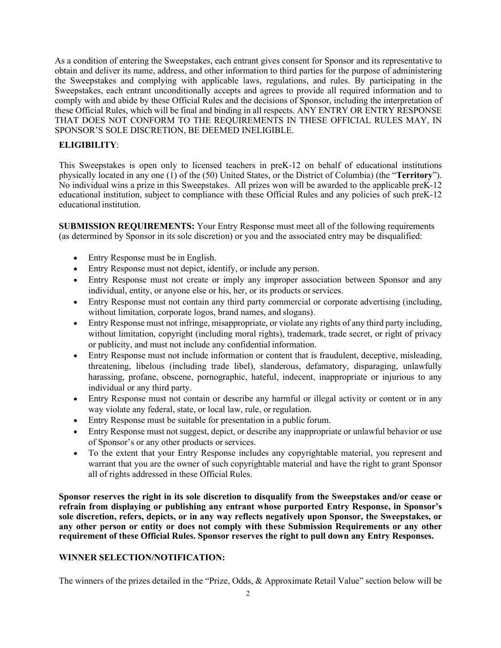As a condition of entering the Sweepstakes, each entrant gives consent for Sponsor and its representative to obtain and deliver its name, address, and other information to third parties for the purpose of administering the Sweepstakes and complying with applicable laws, regulations, and rules. By participating in the Sweepstakes, each entrant unconditionally accepts and agrees to provide all required information and to comply with and abide by these Official Rules and the decisions of Sponsor, including the interpretation of these Official Rules, which will be final and binding in all respects. ANY ENTRY OR ENTRY RESPONSE THAT DOES NOT CONFORM TO THE REQUIREMENTS IN THESE OFFICIAL RULES MAY, IN SPONSOR'S SOLE DISCRETION, BE DEEMED INELIGIBLE.

## **ELIGIBILITY**:

This Sweepstakes is open only to licensed teachers in preK-12 on behalf of educational institutions physically located in any one (1) of the (50) United States, or the District of Columbia) (the "**Territory**"). No individual wins a prize in this Sweepstakes. All prizes won will be awarded to the applicable preK-12 educational institution, subject to compliance with these Official Rules and any policies of such preK-12 educational institution.

**SUBMISSION REQUIREMENTS:** Your Entry Response must meet all of the following requirements (as determined by Sponsor in its sole discretion) or you and the associated entry may be disqualified:

- Entry Response must be in English.
- Entry Response must not depict, identify, or include any person.
- Entry Response must not create or imply any improper association between Sponsor and any individual, entity, or anyone else or his, her, or its products orservices.
- Entry Response must not contain any third party commercial or corporate advertising (including, without limitation, corporate logos, brand names, and slogans).
- Entry Response must not infringe, misappropriate, or violate any rights of any third party including, without limitation, copyright (including moral rights), trademark, trade secret, or right of privacy or publicity, and must not include any confidential information.
- Entry Response must not include information or content that is fraudulent, deceptive, misleading, threatening, libelous (including trade libel), slanderous, defamatory, disparaging, unlawfully harassing, profane, obscene, pornographic, hateful, indecent, inappropriate or injurious to any individual or any third party.
- Entry Response must not contain or describe any harmful or illegal activity or content or in any way violate any federal, state, or local law, rule, or regulation.
- Entry Response must be suitable for presentation in a public forum.
- Entry Response must not suggest, depict, or describe any inappropriate or unlawful behavior or use of Sponsor's or any other products or services.
- To the extent that your Entry Response includes any copyrightable material, you represent and warrant that you are the owner of such copyrightable material and have the right to grant Sponsor all of rights addressed in these Official Rules.

**Sponsor reserves the right in its sole discretion to disqualify from the Sweepstakes and/or cease or refrain from displaying or publishing any entrant whose purported Entry Response, in Sponsor's sole discretion, refers, depicts, or in any way reflects negatively upon Sponsor, the Sweepstakes, or any other person or entity or does not comply with these Submission Requirements or any other requirement of these Official Rules. Sponsor reserves the right to pull down any Entry Responses.**

## **WINNER SELECTION/NOTIFICATION:**

The winners of the prizes detailed in the "Prize, Odds, & Approximate Retail Value" section below will be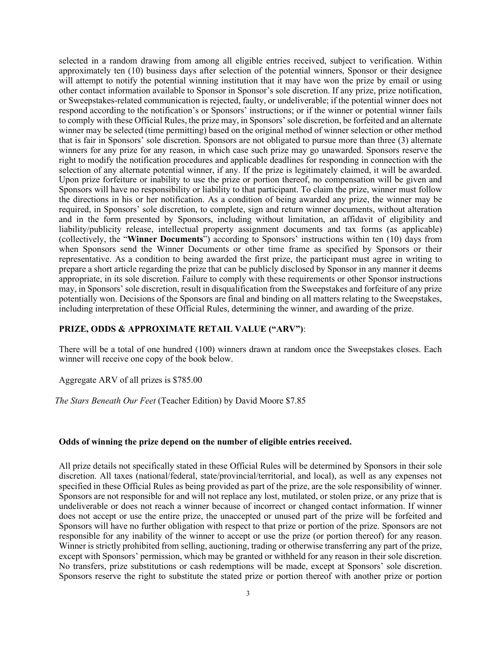selected in a random drawing from among all eligible entries received, subject to verification. Within approximately ten (10) business days after selection of the potential winners, Sponsor or their designee will attempt to notify the potential winning institution that it may have won the prize by email or using other contact information available to Sponsor in Sponsor's sole discretion. If any prize, prize notification, or Sweepstakes-related communication is rejected, faulty, or undeliverable; if the potential winner does not respond according to the notification's or Sponsors' instructions; or if the winner or potential winner fails to comply with these Official Rules, the prize may, in Sponsors' sole discretion, be forfeited and an alternate winner may be selected (time permitting) based on the original method of winner selection or other method that is fair in Sponsors' sole discretion. Sponsors are not obligated to pursue more than three (3) alternate winners for any prize for any reason, in which case such prize may go unawarded. Sponsors reserve the right to modify the notification procedures and applicable deadlines for responding in connection with the selection of any alternate potential winner, if any. If the prize is legitimately claimed, it will be awarded. Upon prize forfeiture or inability to use the prize or portion thereof, no compensation will be given and Sponsors will have no responsibility or liability to that participant. To claim the prize, winner must follow the directions in his or her notification. As a condition of being awarded any prize, the winner may be required, in Sponsors' sole discretion, to complete, sign and return winner documents, without alteration and in the form presented by Sponsors, including without limitation, an affidavit of eligibility and liability/publicity release, intellectual property assignment documents and tax forms (as applicable) (collectively, the "**Winner Documents**") according to Sponsors' instructions within ten (10) days from when Sponsors send the Winner Documents or other time frame as specified by Sponsors or their representative. As a condition to being awarded the first prize, the participant must agree in writing to prepare a short article regarding the prize that can be publicly disclosed by Sponsor in any manner it deems appropriate, in its sole discretion. Failure to comply with these requirements or other Sponsor instructions may, in Sponsors' sole discretion, result in disqualification from the Sweepstakes and forfeiture of any prize potentially won. Decisions of the Sponsors are final and binding on all matters relating to the Sweepstakes, including interpretation of these Official Rules, determining the winner, and awarding of the prize.

## **PRIZE, ODDS & APPROXIMATE RETAIL VALUE ("ARV")**:

There will be a total of one hundred (100) winners drawn at random once the Sweepstakes closes. Each winner will receive one copy of the book below.

Aggregate ARV of all prizes is \$785.00

*The Stars Beneath Our Feet* (Teacher Edition) by David Moore \$7.85

### **Odds of winning the prize depend on the number of eligible entries received.**

All prize details not specifically stated in these Official Rules will be determined by Sponsors in their sole discretion. All taxes (national/federal, state/provincial/territorial, and local), as well as any expenses not specified in these Official Rules as being provided as part of the prize, are the sole responsibility of winner. Sponsors are not responsible for and will not replace any lost, mutilated, or stolen prize, or any prize that is undeliverable or does not reach a winner because of incorrect or changed contact information. If winner does not accept or use the entire prize, the unaccepted or unused part of the prize will be forfeited and Sponsors will have no further obligation with respect to that prize or portion of the prize. Sponsors are not responsible for any inability of the winner to accept or use the prize (or portion thereof) for any reason. Winner is strictly prohibited from selling, auctioning, trading or otherwise transferring any part of the prize, except with Sponsors' permission, which may be granted or withheld for any reason in their sole discretion. No transfers, prize substitutions or cash redemptions will be made, except at Sponsors' sole discretion. Sponsors reserve the right to substitute the stated prize or portion thereof with another prize or portion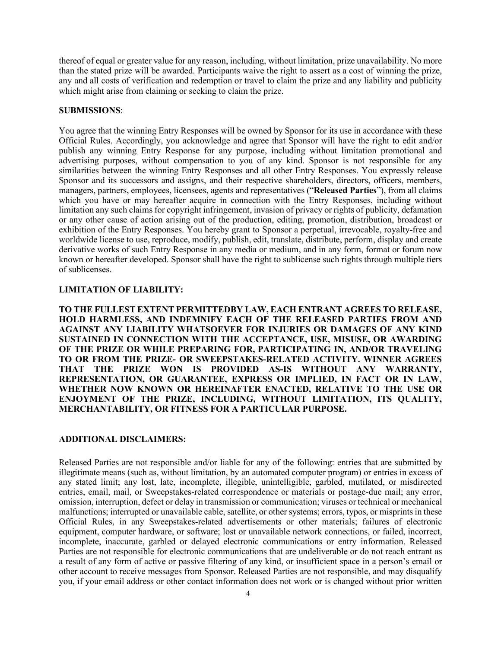thereof of equal or greater value for any reason, including, without limitation, prize unavailability. No more than the stated prize will be awarded. Participants waive the right to assert as a cost of winning the prize, any and all costs of verification and redemption or travel to claim the prize and any liability and publicity which might arise from claiming or seeking to claim the prize.

#### **SUBMISSIONS**:

You agree that the winning Entry Responses will be owned by Sponsor for its use in accordance with these Official Rules. Accordingly, you acknowledge and agree that Sponsor will have the right to edit and/or publish any winning Entry Response for any purpose, including without limitation promotional and advertising purposes, without compensation to you of any kind. Sponsor is not responsible for any similarities between the winning Entry Responses and all other Entry Responses. You expressly release Sponsor and its successors and assigns, and their respective shareholders, directors, officers, members, managers, partners, employees, licensees, agents and representatives ("**Released Parties**"), from all claims which you have or may hereafter acquire in connection with the Entry Responses, including without limitation any such claims for copyright infringement, invasion of privacy or rights of publicity, defamation or any other cause of action arising out of the production, editing, promotion, distribution, broadcast or exhibition of the Entry Responses. You hereby grant to Sponsor a perpetual, irrevocable, royalty-free and worldwide license to use, reproduce, modify, publish, edit, translate, distribute, perform, display and create derivative works of such Entry Response in any media or medium, and in any form, format or forum now known or hereafter developed. Sponsor shall have the right to sublicense such rights through multiple tiers of sublicenses.

### **LIMITATION OF LIABILITY:**

**TO THE FULLEST EXTENT PERMITTEDBY LAW, EACH ENTRANT AGREES TO RELEASE, HOLD HARMLESS, AND INDEMNIFY EACH OF THE RELEASED PARTIES FROM AND AGAINST ANY LIABILITY WHATSOEVER FOR INJURIES OR DAMAGES OF ANY KIND SUSTAINED IN CONNECTION WITH THE ACCEPTANCE, USE, MISUSE, OR AWARDING OF THE PRIZE OR WHILE PREPARING FOR, PARTICIPATING IN, AND/OR TRAVELING TO OR FROM THE PRIZE- OR SWEEPSTAKES-RELATED ACTIVITY. WINNER AGREES THAT THE PRIZE WON IS PROVIDED AS-IS WITHOUT ANY WARRANTY, REPRESENTATION, OR GUARANTEE, EXPRESS OR IMPLIED, IN FACT OR IN LAW, WHETHER NOW KNOWN OR HEREINAFTER ENACTED, RELATIVE TO THE USE OR ENJOYMENT OF THE PRIZE, INCLUDING, WITHOUT LIMITATION, ITS QUALITY, MERCHANTABILITY, OR FITNESS FOR A PARTICULAR PURPOSE.**

### **ADDITIONAL DISCLAIMERS:**

Released Parties are not responsible and/or liable for any of the following: entries that are submitted by illegitimate means (such as, without limitation, by an automated computer program) or entries in excess of any stated limit; any lost, late, incomplete, illegible, unintelligible, garbled, mutilated, or misdirected entries, email, mail, or Sweepstakes-related correspondence or materials or postage-due mail; any error, omission, interruption, defect or delay in transmission or communication; viruses or technical or mechanical malfunctions; interrupted or unavailable cable, satellite, or other systems; errors, typos, or misprints in these Official Rules, in any Sweepstakes-related advertisements or other materials; failures of electronic equipment, computer hardware, or software; lost or unavailable network connections, or failed, incorrect, incomplete, inaccurate, garbled or delayed electronic communications or entry information. Released Parties are not responsible for electronic communications that are undeliverable or do not reach entrant as a result of any form of active or passive filtering of any kind, or insufficient space in a person's email or other account to receive messages from Sponsor. Released Parties are not responsible, and may disqualify you, if your email address or other contact information does not work or is changed without prior written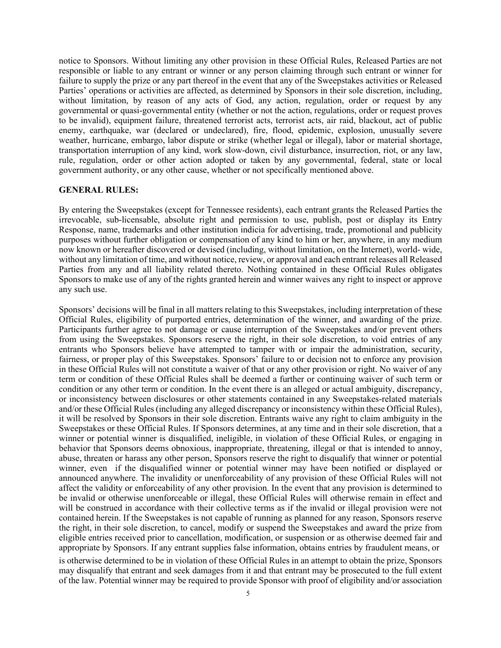notice to Sponsors. Without limiting any other provision in these Official Rules, Released Parties are not responsible or liable to any entrant or winner or any person claiming through such entrant or winner for failure to supply the prize or any part thereof in the event that any of the Sweepstakes activities or Released Parties' operations or activities are affected, as determined by Sponsors in their sole discretion, including, without limitation, by reason of any acts of God, any action, regulation, order or request by any governmental or quasi-governmental entity (whether or not the action, regulations, order or request proves to be invalid), equipment failure, threatened terrorist acts, terrorist acts, air raid, blackout, act of public enemy, earthquake, war (declared or undeclared), fire, flood, epidemic, explosion, unusually severe weather, hurricane, embargo, labor dispute or strike (whether legal or illegal), labor or material shortage, transportation interruption of any kind, work slow-down, civil disturbance, insurrection, riot, or any law, rule, regulation, order or other action adopted or taken by any governmental, federal, state or local government authority, or any other cause, whether or not specifically mentioned above.

#### **GENERAL RULES:**

By entering the Sweepstakes (except for Tennessee residents), each entrant grants the Released Parties the irrevocable, sub-licensable, absolute right and permission to use, publish, post or display its Entry Response, name, trademarks and other institution indicia for advertising, trade, promotional and publicity purposes without further obligation or compensation of any kind to him or her, anywhere, in any medium now known or hereafter discovered or devised (including, without limitation, on the Internet), world- wide, without any limitation of time, and without notice, review, or approval and each entrant releases all Released Parties from any and all liability related thereto. Nothing contained in these Official Rules obligates Sponsors to make use of any of the rights granted herein and winner waives any right to inspect or approve any such use.

Sponsors' decisions will be final in all matters relating to this Sweepstakes, including interpretation of these Official Rules, eligibility of purported entries, determination of the winner, and awarding of the prize. Participants further agree to not damage or cause interruption of the Sweepstakes and/or prevent others from using the Sweepstakes. Sponsors reserve the right, in their sole discretion, to void entries of any entrants who Sponsors believe have attempted to tamper with or impair the administration, security, fairness, or proper play of this Sweepstakes. Sponsors' failure to or decision not to enforce any provision in these Official Rules will not constitute a waiver of that or any other provision or right. No waiver of any term or condition of these Official Rules shall be deemed a further or continuing waiver of such term or condition or any other term or condition. In the event there is an alleged or actual ambiguity, discrepancy, or inconsistency between disclosures or other statements contained in any Sweepstakes-related materials and/or these Official Rules (including any alleged discrepancy or inconsistency within these Official Rules), it will be resolved by Sponsors in their sole discretion. Entrants waive any right to claim ambiguity in the Sweepstakes or these Official Rules. If Sponsors determines, at any time and in their sole discretion, that a winner or potential winner is disqualified, ineligible, in violation of these Official Rules, or engaging in behavior that Sponsors deems obnoxious, inappropriate, threatening, illegal or that is intended to annoy, abuse, threaten or harass any other person, Sponsors reserve the right to disqualify that winner or potential winner, even if the disqualified winner or potential winner may have been notified or displayed or announced anywhere. The invalidity or unenforceability of any provision of these Official Rules will not affect the validity or enforceability of any other provision. In the event that any provision is determined to be invalid or otherwise unenforceable or illegal, these Official Rules will otherwise remain in effect and will be construed in accordance with their collective terms as if the invalid or illegal provision were not contained herein. If the Sweepstakes is not capable of running as planned for any reason, Sponsors reserve the right, in their sole discretion, to cancel, modify or suspend the Sweepstakes and award the prize from eligible entries received prior to cancellation, modification, or suspension or as otherwise deemed fair and appropriate by Sponsors. If any entrant supplies false information, obtains entries by fraudulent means, or

is otherwise determined to be in violation of these Official Rules in an attempt to obtain the prize, Sponsors may disqualify that entrant and seek damages from it and that entrant may be prosecuted to the full extent of the law. Potential winner may be required to provide Sponsor with proof of eligibility and/or association